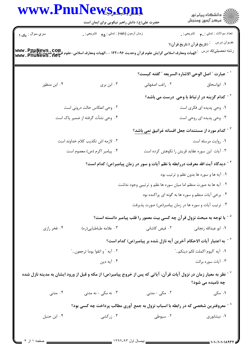|                                   | www.PnuNews.com<br>حضرت علی(ع): دانش راهبر نیکویی برای ایمان است                                                                                                                                                                 |                                                                                            | ر<br>دانشڪاه پيام نور)<br>اڳ مرڪز آزمون وسنڊش            |  |
|-----------------------------------|----------------------------------------------------------------------------------------------------------------------------------------------------------------------------------------------------------------------------------|--------------------------------------------------------------------------------------------|----------------------------------------------------------|--|
| سري سوال : يک ۱                   | زمان أزمون (دقيقه) : تستى: ۴۵ — تشريحي: .                                                                                                                                                                                        |                                                                                            | نعداد سوالات : نستي : ٣ <b>. سي</b> انشريحي : .          |  |
|                                   |                                                                                                                                                                                                                                  |                                                                                            | عنــوان درس<br><sup>:</sup> (تاریخ قرآن ۱،تاریخ قرآن(۱   |  |
|                                   | - الهيات ومعارف اسلامي گرايش علوم قرآن وحديث ۱۲۲۰۰۹۶ - ، الهيات ومعارف اسلامي-علوم قرآن و حديث www . PnuNews . Com<br>- الهيات ومعارف اسلامي گرايش علوم قرآن وحديث ۱۲۲۰۰۹۶ - ، الهيات ومعارف اسلامي-علوم قرآن و حديث www . PnuNe |                                                                                            | رشته تحصيلي/كد درس                                       |  |
|                                   |                                                                                                                                                                                                                                  | ` - عبارت ″ اصل الوحي الاشاره السريعه ″ گفته كيست؟                                         |                                                          |  |
| ۰۴ ابن منظور                      | ۰۳ ابن بری                                                                                                                                                                                                                       | ٠٢ راغب اصفهاني                                                                            | ۰۱ ابواسحاق                                              |  |
|                                   |                                                                                                                                                                                                                                  |                                                                                            | <sup>۲ -</sup> کدام گزینه در ارتباط با وحی درست می باشد؟ |  |
| ۰۲ وحی انعکاس حالت درونی است      |                                                                                                                                                                                                                                  |                                                                                            | ۰۱ وحی پدیده ای فکری است                                 |  |
| ۰۴ وحي نشأت گرفته از ضمير پاک است |                                                                                                                                                                                                                                  | ۰۳ وحی پدیده ای روحی است                                                                   |                                                          |  |
|                                   |                                                                                                                                                                                                                                  | <sup>۳ -</sup> کدام مورد از مستندات جعل افسانه غرانیق <u>نمی باشد</u> ؟                    |                                                          |  |
| ۰۲ لازمه اش تکذیب کلام خداوند است |                                                                                                                                                                                                                                  |                                                                                            | ٠١ روايت مرسله است                                       |  |
|                                   | ۰۴ پیامبر اکرم (ص) معصوم است                                                                                                                                                                                                     | ۰۳ آیات این سوره عقاید قریش را نکوهش کرده است                                              |                                                          |  |
|                                   |                                                                                                                                                                                                                                  | <sup>۴ -</sup> دیدگاه آیت الله معرفت دررابطه با نظم آیات و سور در زمان پیامبر(ص) کدام است؟ |                                                          |  |
|                                   |                                                                                                                                                                                                                                  |                                                                                            | ۰۱ آیه ها و سوره ها بدون نظم و ترتیب بود                 |  |
|                                   |                                                                                                                                                                                                                                  | ۰۲ آیه ها به صورت منظم اما میان سوره ها نظم و ترتیبی وجود نداشت                            |                                                          |  |
|                                   |                                                                                                                                                                                                                                  | ۰۳ برخی آیات منظم و سوره ها به گونه ای پراکنده بود                                         |                                                          |  |
|                                   |                                                                                                                                                                                                                                  | ۰۴ ترتیب آیات و سوره ها در زمان پیامبر(ص) صورت پذیرفت                                      |                                                          |  |
|                                   |                                                                                                                                                                                                                                  | یا توجه به مبحث نزول قرآن چه کسی بیت معمور را قلب پیامبر دانسته است؟ $^{\circ}$            |                                                          |  |
| ۰۴ فخر رازی                       | ۰۳ علامه طباطبايي(ره)                                                                                                                                                                                                            | ٠٢ فيض كاشانى                                                                              | ٠١. ابو عبدالله زنجاني                                   |  |
|                                   |                                                                                                                                                                                                                                  | د اعتبار آیات الاحکام آخرین آیه نازل شده بر پیامبر(ص) کدام است؟ $^\circ$                   |                                                          |  |
| ٢.  آيه " و اتقوا يوما ترجعون…"   |                                                                                                                                                                                                                                  |                                                                                            | ٠١. آيه "اليوم اكملت لكم دينكم"                          |  |
|                                   | ۰۴ آیه دین                                                                                                                                                                                                                       |                                                                                            | ۰۳ آيات سوره برائت                                       |  |
|                                   | نظر به معیار زمان در نزول آیات قرآن، آیاتی که پس از خروج پیامبر(ص) از مکه و قبل از ورود ایشان به مدینه نازل شده $^{\vee}$                                                                                                        |                                                                                            | چه نامیده می شود؟                                        |  |
| ۰۴ مدنی                           | ۰۳ نه مکی – نه مدنی                                                                                                                                                                                                              | ۰۲ مکی - مدنی                                                                              | ۰۱ مکی                                                   |  |
|                                   | یعروفترین شخصی که در رابطه با اسباب نزول به جمع آوری مطالب پرداخت چه کسی بود؟ $^{\wedge}$                                                                                                                                        |                                                                                            |                                                          |  |
| ۰۴ ابن حنبل                       | ۰۳ زرکشی                                                                                                                                                                                                                         | ۰۲ سیوطی                                                                                   | ۰۱ نیشابوری                                              |  |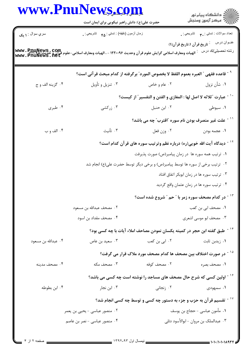| www.PnuNews.com     | حضرت علی(ع): دانش راهبر نیکویی برای ایمان است                                                                                                                 |                                                                                       | ر<br>اڳ دانشڪاه پيام نور<br>اڳ مرڪز آزمون وسنڊش |
|---------------------|---------------------------------------------------------------------------------------------------------------------------------------------------------------|---------------------------------------------------------------------------------------|-------------------------------------------------|
| سري سوال : ١ يک     | زمان أزمون (دقيقه) : تستي : <sub>۴۵</sub> تشريحي : <sub>•</sub>                                                                                               |                                                                                       | تعداد سوالات : تستبي : پم       تشريحي : .      |
|                     | WWW • PHUNEWS • COM.<br>- الهيات ومعارف اسلامي گرايش علوم قر آن وحديث ۱۲۲۰۰۹۶ - ، الهيات ومعارف اسلامي-علوم شاهوم بازي ومعارف اسلامي<br>- WWW • PHUNEWS • ABL |                                                                                       | رشته تحصيل <i>ي </i> كد درس    :                |
|                     | <sup>9 -</sup> قاعده فقهى ″ العبره بعموم اللفظ لا بخصوص المورد″ برگرفته از كدام مبحث قر آنى است؟                                                              |                                                                                       |                                                 |
| ۰۴ گزينه الف و ج    | ۰۳ تنزیل و تأویل                                                                                                                                              | ۰۲ عام و خاص                                                                          | ۰۱ شأن نزول                                     |
|                     |                                                                                                                                                               | `` - عبارت ″ثلاثه لا اصل لها : المغازي و الفتن و التفسير″ از كيست؟                    |                                                 |
| ۰۴ طبری             | ۰۳ زرکشی                                                                                                                                                      | ۰۲ ابن حنبل                                                                           | ۰۱ سیوطی                                        |
|                     |                                                                                                                                                               | <sup>۱۱ -</sup> علت غیر منصرف بودن نام سوره <b>"اقترب" چه می باشد</b> ؟               |                                                 |
| ۰۴ الف و ب          | ۰۳ تأنيث                                                                                                                                                      | ٠٢ وزن فعل                                                                            | ٠١ عجمه بودن                                    |
|                     |                                                                                                                                                               | <sup>۱۲ -</sup> دیدگاه آیت الله خویی(ره) درباره نظم وترتیب سوره های قرآن کدام است؟    |                                                 |
|                     |                                                                                                                                                               | ۰۱ ترتیب همه سوره ها در زمان پیامبر(ص) صورت پذیرفت                                    |                                                 |
|                     |                                                                                                                                                               | ۰۲ ترتیب برخی از سوره ها توسط پیامبر(ص) و برخی دیگر توسط حضرت علی(ع) انجام شد         |                                                 |
|                     |                                                                                                                                                               |                                                                                       | ۰۳ ترتیب سوره ها در زمان ابوبکر اتفاق افتاد     |
|                     |                                                                                                                                                               |                                                                                       | ۰۴ ترتیب سوره ها در زمان عثمان واقع گردید       |
|                     |                                                                                                                                                               | در کدام مصحف سوره زمر با " حم " شروع شده است؟                                         |                                                 |
|                     | ٢.  مصحف عبدالله بن مسعود                                                                                                                                     |                                                                                       | ٠١ مصحف ابي بن كعب                              |
|                     | ۰۴ مصحف مقداد بن اسود                                                                                                                                         |                                                                                       | ۰۳ مصحف ابو موسی اشعری                          |
|                     |                                                                                                                                                               | <sup>۱۴ -</sup> طبق گفته ابن حجر در کمیته یکسان نمودن مصاحف املاء آیات با چه کسی بود؟ |                                                 |
| ۰۴ عبدالله بن مسعود | ۰۳ سعید بن عاص                                                                                                                                                | ۰۲ ابی بن کعب                                                                         | ۰۱ زیدبن ثابت                                   |
|                     |                                                                                                                                                               | در صورت اختلاف بین مصحف ها کدام مصحف مورد ملاک قرار می گرفت؟                          |                                                 |
| ۰۴ مصحف مدينه       | ۰۳ مصحف مکه                                                                                                                                                   | ۰۲ مصحف کوفه                                                                          | ۰۱ مصحف بصره                                    |
|                     |                                                                                                                                                               | ۱ <sup>۶ -</sup> اولین کسی که شرح حال مصحف های مساجد را نوشته است چه کسی می باشد؟     |                                                 |
| ۰۴ ابن بطوطه        | ۰۳ ابن نجار                                                                                                                                                   | ۰۲ زنجانی                                                                             | ۰۱ سمهودی                                       |
|                     |                                                                                                                                                               | $^{\circ}$ تقسیم قر آن به حزب و جزء به دستور چه کسی و توسط چه کسی انجام شد $^{\circ}$ |                                                 |
|                     | ۰۲ منصور عباسی - یحیی بن یعمر                                                                                                                                 | ٠١ مأمون عباسي - حجاج بن يوسف                                                         |                                                 |
|                     | ۰۴ منصور عباسی - نصر بن عاصم                                                                                                                                  |                                                                                       | ۰۳ عبدالملک بن مروان - ابوالأسود دئلی           |

 $\overline{a}$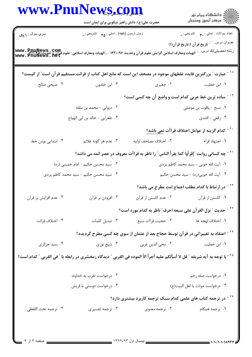| <b>www.PnuNews.com</b>                         | حضرت علی(ع): دانش راهبر نیکویی برای ایمان است   |                                                                                                                                                           | الا دانشگاه پيام نور<br>ا                                         |
|------------------------------------------------|-------------------------------------------------|-----------------------------------------------------------------------------------------------------------------------------------------------------------|-------------------------------------------------------------------|
| سري سوال : <b>۱ يک</b>                         | زمان أزمون (دقيقه) : تستي : هم       تشريحي : . |                                                                                                                                                           |                                                                   |
|                                                |                                                 |                                                                                                                                                           | عنــوان درس       : تاريخ قرآن ۱،تاريخ قرآن(۱)                    |
|                                                |                                                 | WWW • PnuNewS • COM.<br>- الهيات ومعارف اسلامي گرايش علوم قر آن وحديث ۱۲۲۰۰۹۶ - ، الهيات ومعارف اسلامي-علوم قر آن و حديث ۱۲۲۰۴۸۰<br>- www • PnuNewS • net | رشته تحصيلي/كد درس                                                |
|                                                |                                                 | <sup>۱۸ -</sup> عبارت ″ بزرگترین فایده غلطهای موجود در مصحف این است که مانع اهل کتاب از قرائت مستقیم قرآن است″ از کیست؟                                   |                                                                   |
| ۰۴ صبحی صالح                                   | ابن خلدون $\cdot$ ۳ .                           |                                                                                                                                                           | ۰۱ ابن خطیب مسلم ۲۰ جعبری                                         |
|                                                |                                                 | <sup>۱۹ -</sup> ساده ترین خط عربی کدام است و واضع آن چه کسی است؟                                                                                          |                                                                   |
|                                                | ۰۲ دیوانی - محمد بن مقله                        |                                                                                                                                                           | ٠١ نسخ - ياقوت بن موصلي                                           |
| ۰۴ طغرایی - خالد بن ابی الهیاج                 |                                                 |                                                                                                                                                           | ۰۳ رقعي - افندي                                                   |
|                                                |                                                 |                                                                                                                                                           | <sup>۲۰ -</sup> کدام گزینه از عوامل اختلاف قراآت <u>نمی باشد؟</u> |
| ۰۴ ابتدایی بودن خط                             | ۰۳ عدم هر گونه علائم                            | ٠٢ اختلاف مصاحف اوليه                                                                                                                                     | ۰۱ اجتهاد قراء                                                    |
|                                                |                                                 | <sup>۲۱ -</sup> چه کسانی روایت ″إقرأوا کما یقرأ الناس ″ را ناظر به قراآت معروف در عصر ائمه می دانند؟                                                      |                                                                   |
|                                                | ۰۲ سید محسن حکیم - امام خمینی (ره)              | ۰۱ آیت الله خویی - سید محمد کاظم یزدی                                                                                                                     |                                                                   |
|                                                | ۰۴ سید محسن حکیم - سید محمد کاظم یزدی           |                                                                                                                                                           | ۰۳ آيت الله خويي(ره) - سيد محسن حكيم                              |
|                                                |                                                 |                                                                                                                                                           | <sup>۲۲ -</sup> در ارتباط با کدام مطلب اجماع امت مطرح می باشد؟    |
| ۰۳ افزودن بر قرآن مسلم افزایش بر قرآن <b>۴</b> |                                                 |                                                                                                                                                           |                                                                   |
|                                                |                                                 | <sup>۲۳ -</sup> حديث ″ نزل القر آن على سبعه احرف″ ناظر به كدام مورد است؟                                                                                  |                                                                   |
| ۰۴ اختلاف قرائت                                | ٠٣ تبديل كلمات                                  | ٠٢ حجيت قرأات سبع                                                                                                                                         | ٠١. اختلاف لهجه ها                                                |
|                                                |                                                 | <sup>۲۴ -</sup> اعتقاد به تغییراتی در قرآن توسط حجاج بعد از عثمان از سوی چه کسی مطرح گردیدد؟                                                              |                                                                   |
| ۰۴ سید جزائری                                  |                                                 | ۰۲ محی الدین عربی مسیخ نوری . ۳                                                                                                                           | ۰۱ ابن خطیب                                                       |
|                                                |                                                 | <sup>72</sup> - با توجه به آيه شريفه ″ قل لا أسألكم عليه أجراً الاً الموده في القربي ″ ديدگاه زمخشري در رابطه با ″ في القربي ″ كدام است؟                  |                                                                   |
|                                                | ۰۲ درخواست تقرب به خداوند                       |                                                                                                                                                           | ۰۱ درخواست صله رحم                                                |
|                                                | ۰۴ درخواست دوستی با قریش                        | ٠٣ درخواست مودًت با اهل البيت(ع)                                                                                                                          |                                                                   |
|                                                |                                                 | <sup>۲۶ -</sup> در ترجمه کتاب های علمی کدام سبک ترجمه کاربرد بیشتری دارد؟                                                                                 |                                                                   |
| ۰۴ ترجمه تحت اللفظي                            | ۰۳ ترجمه تفسیری                                 | ۰۲ ترجمه معنوی                                                                                                                                            | ۱. ترجمه همگام                                                    |
|                                                |                                                 |                                                                                                                                                           |                                                                   |
|                                                |                                                 |                                                                                                                                                           |                                                                   |
|                                                |                                                 |                                                                                                                                                           |                                                                   |